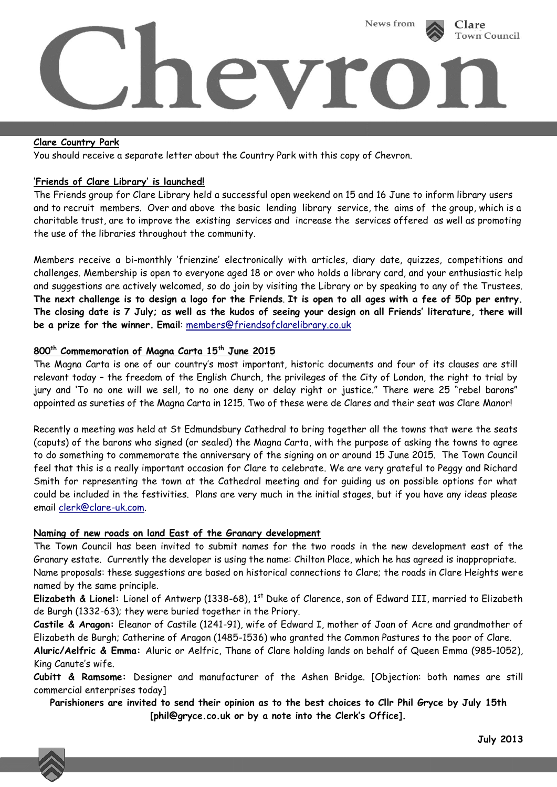

### **Clare Country Park**

You should receive a separate letter about the Country Park with this copy of Chevron.

### **'Friends of Clare Library' is launched!**

The Friends group for Clare Library held a successful open weekend on 15 and 16 June to inform library users and to recruit members. Over and above the basic lending library service, the aims of the group, which is a charitable trust, are to improve the existing services and increase the services offered as well as promoting the use of the libraries throughout the community.

Members receive a bi-monthly 'frienzine' electronically with articles, diary date, quizzes, competitions and challenges. Membership is open to everyone aged 18 or over who holds a library card, and your enthusiastic help and suggestions are actively welcomed, so do join by visiting the Library or by speaking to any of the Trustees. **The next challenge is to design a logo for the Friends**. **It is open to all ages with a fee of 50p per entry. The closing date is 7 July; as well as the kudos of seeing your design on all Friends' literature, there will be a prize for the winner. Email**: [members@friendsofclarelibrary.co.uk](mailto:members@friendsofclarelibrary.co.uk)

# **800th Commemoration of Magna Carta 15th June 2015**

The Magna Carta is one of our country's most important, historic documents and four of its clauses are still relevant today – the freedom of the English Church, the privileges of the City of London, the right to trial by jury and 'To no one will we sell, to no one deny or delay right or justice." There were 25 "rebel barons" appointed as sureties of the Magna Carta in 1215. Two of these were de Clares and their seat was Clare Manor!

Recently a meeting was held at St Edmundsbury Cathedral to bring together all the towns that were the seats (caputs) of the barons who signed (or sealed) the Magna Carta, with the purpose of asking the towns to agree to do something to commemorate the anniversary of the signing on or around 15 June 2015. The Town Council feel that this is a really important occasion for Clare to celebrate. We are very grateful to Peggy and Richard Smith for representing the town at the Cathedral meeting and for guiding us on possible options for what could be included in the festivities. Plans are very much in the initial stages, but if you have any ideas please email [clerk@clare-uk.com.](mailto:clerk@clare-uk.com)

#### **Naming of new roads on land East of the Granary development**

The Town Council has been invited to submit names for the two roads in the new development east of the Granary estate. Currently the developer is using the name: Chilton Place, which he has agreed is inappropriate. Name proposals: these suggestions are based on historical connections to Clare; the roads in Clare Heights were named by the same principle.

**Elizabeth & Lionel:** Lionel of Antwerp (1338-68), 1st Duke of Clarence, son of Edward III, married to Elizabeth de Burgh (1332-63); they were buried together in the Priory.

**Castile & Aragon:** Eleanor of Castile (1241-91), wife of Edward I, mother of Joan of Acre and grandmother of Elizabeth de Burgh; Catherine of Aragon (1485-1536) who granted the Common Pastures to the poor of Clare. **Aluric/Aelfric & Emma:** Aluric or Aelfric, Thane of Clare holding lands on behalf of Queen Emma (985-1052), King Canute's wife.

**Cubitt & Ramsome:** Designer and manufacturer of the Ashen Bridge. [Objection: both names are still commercial enterprises today]

**Parishioners are invited to send their opinion as to the best choices to Cllr Phil Gryce by July 15th [phil@gryce.co.uk or by a note into the Clerk's Office].**